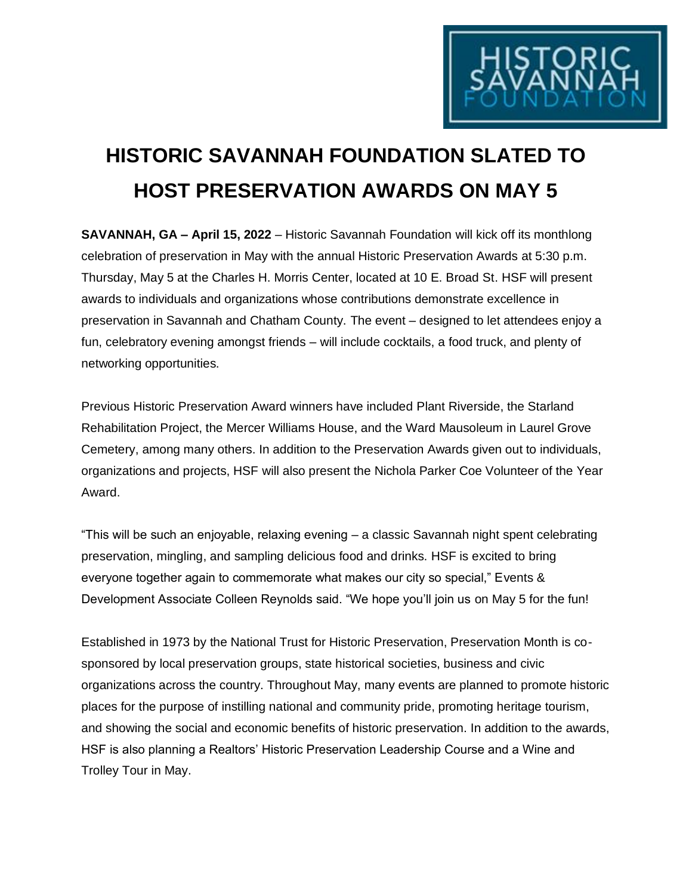

## **HISTORIC SAVANNAH FOUNDATION SLATED TO HOST PRESERVATION AWARDS ON MAY 5**

**SAVANNAH, GA – April 15, 2022** – Historic Savannah Foundation will kick off its monthlong celebration of preservation in May with the annual Historic Preservation Awards at 5:30 p.m. Thursday, May 5 at the Charles H. Morris Center, located at 10 E. Broad St. HSF will present awards to individuals and organizations whose contributions demonstrate excellence in preservation in Savannah and Chatham County. The event – designed to let attendees enjoy a fun, celebratory evening amongst friends – will include cocktails, a food truck, and plenty of networking opportunities.

Previous Historic Preservation Award winners have included Plant Riverside, the Starland Rehabilitation Project, the Mercer Williams House, and the Ward Mausoleum in Laurel Grove Cemetery, among many others. In addition to the Preservation Awards given out to individuals, organizations and projects, HSF will also present the Nichola Parker Coe Volunteer of the Year Award.

"This will be such an enjoyable, relaxing evening – a classic Savannah night spent celebrating preservation, mingling, and sampling delicious food and drinks. HSF is excited to bring everyone together again to commemorate what makes our city so special," Events & Development Associate Colleen Reynolds said. "We hope you'll join us on May 5 for the fun!

Established in 1973 by the National Trust for Historic Preservation, Preservation Month is cosponsored by local preservation groups, state historical societies, business and civic organizations across the country. Throughout May, many events are planned to promote historic places for the purpose of instilling national and community pride, promoting heritage tourism, and showing the social and economic benefits of historic preservation. In addition to the awards, HSF is also planning a Realtors' Historic Preservation Leadership Course and a Wine and Trolley Tour in May.